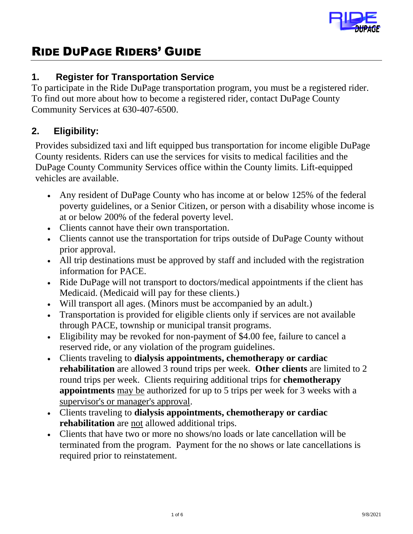

# RIDE DUPAGE RIDERS' GUIDE

# **1. Register for Transportation Service**

To participate in the Ride DuPage transportation program, you must be a registered rider. To find out more about how to become a registered rider, contact DuPage County Community Services at 630-407-6500.

# **2. Eligibility:**

Provides subsidized taxi and lift equipped bus transportation for income eligible DuPage County residents. Riders can use the services for visits to medical facilities and the DuPage County Community Services office within the County limits. Lift-equipped vehicles are available.

- Any resident of DuPage County who has income at or below 125% of the federal poverty guidelines, or a Senior Citizen, or person with a disability whose income is at or below 200% of the federal poverty level.
- Clients cannot have their own transportation.
- Clients cannot use the transportation for trips outside of DuPage County without prior approval.
- All trip destinations must be approved by staff and included with the registration information for PACE.
- Ride DuPage will not transport to doctors/medical appointments if the client has Medicaid. (Medicaid will pay for these clients.)
- Will transport all ages. (Minors must be accompanied by an adult.)
- Transportation is provided for eligible clients only if services are not available through PACE, township or municipal transit programs.
- Eligibility may be revoked for non-payment of \$4.00 fee, failure to cancel a reserved ride, or any violation of the program guidelines.
- Clients traveling to **dialysis appointments, chemotherapy or cardiac rehabilitation** are allowed 3 round trips per week. **Other clients** are limited to 2 round trips per week. Clients requiring additional trips for **chemotherapy appointments** may be authorized for up to 5 trips per week for 3 weeks with a supervisor's or manager's approval.
- Clients traveling to **dialysis appointments, chemotherapy or cardiac rehabilitation** are not allowed additional trips.
- Clients that have two or more no shows/no loads or late cancellation will be terminated from the program. Payment for the no shows or late cancellations is required prior to reinstatement.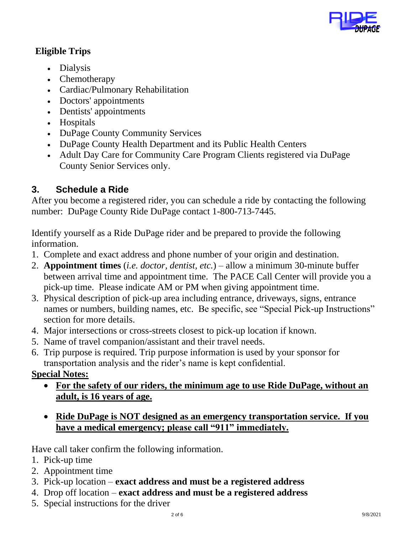

## **Eligible Trips**

- Dialysis
- Chemotherapy
- Cardiac/Pulmonary Rehabilitation
- Doctors' appointments
- Dentists' appointments
- Hospitals
- DuPage County Community Services
- DuPage County Health Department and its Public Health Centers
- Adult Day Care for Community Care Program Clients registered via DuPage County Senior Services only.

# **3. Schedule a Ride**

After you become a registered rider, you can schedule a ride by contacting the following number: DuPage County Ride DuPage contact 1-800-713-7445.

Identify yourself as a Ride DuPage rider and be prepared to provide the following information.

- 1. Complete and exact address and phone number of your origin and destination.
- 2. **Appointment times** (*i.e. doctor, dentist, etc.*) allow a minimum 30-minute buffer between arrival time and appointment time. The PACE Call Center will provide you a pick-up time. Please indicate AM or PM when giving appointment time.
- 3. Physical description of pick-up area including entrance, driveways, signs, entrance names or numbers, building names, etc. Be specific, see "Special Pick-up Instructions" section for more details.
- 4. Major intersections or cross-streets closest to pick-up location if known.
- 5. Name of travel companion/assistant and their travel needs.
- 6. Trip purpose is required. Trip purpose information is used by your sponsor for transportation analysis and the rider's name is kept confidential.

# **Special Notes:**

- **For the safety of our riders, the minimum age to use Ride DuPage, without an adult, is 16 years of age.**
- **Ride DuPage is NOT designed as an emergency transportation service. If you have a medical emergency; please call "911" immediately.**

Have call taker confirm the following information.

- 1. Pick-up time
- 2. Appointment time
- 3. Pick-up location **exact address and must be a registered address**
- 4. Drop off location **exact address and must be a registered address**
- 5. Special instructions for the driver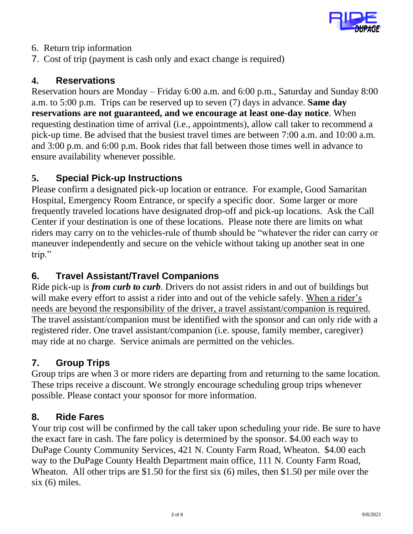

- 6. Return trip information
- 7. Cost of trip (payment is cash only and exact change is required)

#### **4. Reservations**

Reservation hours are Monday – Friday 6:00 a.m. and 6:00 p.m., Saturday and Sunday 8:00 a.m. to 5:00 p.m. Trips can be reserved up to seven (7) days in advance. **Same day reservations are not guaranteed, and we encourage at least one-day notice**. When requesting destination time of arrival (i.e., appointments), allow call taker to recommend a pick-up time. Be advised that the busiest travel times are between 7:00 a.m. and 10:00 a.m. and 3:00 p.m. and 6:00 p.m. Book rides that fall between those times well in advance to ensure availability whenever possible.

#### **5. Special Pick-up Instructions**

Please confirm a designated pick-up location or entrance. For example, Good Samaritan Hospital, Emergency Room Entrance, or specify a specific door. Some larger or more frequently traveled locations have designated drop-off and pick-up locations. Ask the Call Center if your destination is one of these locations. Please note there are limits on what riders may carry on to the vehicles-rule of thumb should be "whatever the rider can carry or maneuver independently and secure on the vehicle without taking up another seat in one trip."

# **6. Travel Assistant/Travel Companions**

Ride pick-up is *from curb to curb*. Drivers do not assist riders in and out of buildings but will make every effort to assist a rider into and out of the vehicle safely. When a rider's needs are beyond the responsibility of the driver, a travel assistant/companion is required. The travel assistant/companion must be identified with the sponsor and can only ride with a registered rider. One travel assistant/companion (i.e. spouse, family member, caregiver) may ride at no charge. Service animals are permitted on the vehicles.

## **7. Group Trips**

Group trips are when 3 or more riders are departing from and returning to the same location. These trips receive a discount. We strongly encourage scheduling group trips whenever possible. Please contact your sponsor for more information.

#### **8. Ride Fares**

Your trip cost will be confirmed by the call taker upon scheduling your ride. Be sure to have the exact fare in cash. The fare policy is determined by the sponsor. \$4.00 each way to DuPage County Community Services, 421 N. County Farm Road, Wheaton. \$4.00 each way to the DuPage County Health Department main office, 111 N. County Farm Road, Wheaton. All other trips are \$1.50 for the first six (6) miles, then \$1.50 per mile over the six (6) miles.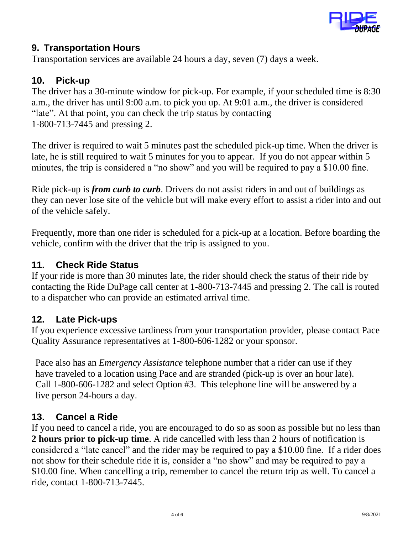

## **9. Transportation Hours**

Transportation services are available 24 hours a day, seven (7) days a week.

## **10. Pick-up**

The driver has a 30-minute window for pick-up. For example, if your scheduled time is 8:30 a.m., the driver has until 9:00 a.m. to pick you up. At 9:01 a.m., the driver is considered "late". At that point, you can check the trip status by contacting 1-800-713-7445 and pressing 2.

The driver is required to wait 5 minutes past the scheduled pick-up time. When the driver is late, he is still required to wait 5 minutes for you to appear. If you do not appear within 5 minutes, the trip is considered a "no show" and you will be required to pay a \$10.00 fine.

Ride pick-up is *from curb to curb*. Drivers do not assist riders in and out of buildings as they can never lose site of the vehicle but will make every effort to assist a rider into and out of the vehicle safely.

Frequently, more than one rider is scheduled for a pick-up at a location. Before boarding the vehicle, confirm with the driver that the trip is assigned to you.

## **11. Check Ride Status**

If your ride is more than 30 minutes late, the rider should check the status of their ride by contacting the Ride DuPage call center at 1-800-713-7445 and pressing 2. The call is routed to a dispatcher who can provide an estimated arrival time.

# **12. Late Pick-ups**

If you experience excessive tardiness from your transportation provider, please contact Pace Quality Assurance representatives at 1-800-606-1282 or your sponsor.

Pace also has an *Emergency Assistance* telephone number that a rider can use if they have traveled to a location using Pace and are stranded (pick-up is over an hour late). Call 1-800-606-1282 and select Option #3. This telephone line will be answered by a live person 24-hours a day.

# **13. Cancel a Ride**

If you need to cancel a ride, you are encouraged to do so as soon as possible but no less than **2 hours prior to pick-up time**. A ride cancelled with less than 2 hours of notification is considered a "late cancel" and the rider may be required to pay a \$10.00 fine. If a rider does not show for their schedule ride it is, consider a "no show" and may be required to pay a \$10.00 fine. When cancelling a trip, remember to cancel the return trip as well. To cancel a ride, contact 1-800-713-7445.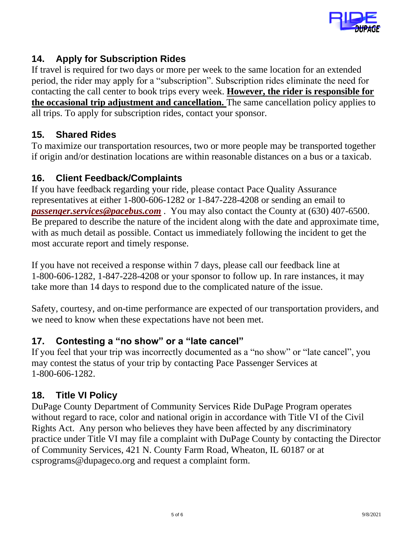

# **14. Apply for Subscription Rides**

If travel is required for two days or more per week to the same location for an extended period, the rider may apply for a "subscription". Subscription rides eliminate the need for contacting the call center to book trips every week. **However, the rider is responsible for the occasional trip adjustment and cancellation.** The same cancellation policy applies to all trips. To apply for subscription rides, contact your sponsor.

## **15. Shared Rides**

To maximize our transportation resources, two or more people may be transported together if origin and/or destination locations are within reasonable distances on a bus or a taxicab.

## **16. Client Feedback/Complaints**

If you have feedback regarding your ride, please contact Pace Quality Assurance representatives at either 1-800-606-1282 or 1-847-228-4208 or sending an email to *[passenger.services@pacebus.com](mailto:passenger.services@pacebus.com)* . You may also contact the County at (630) 407-6500. Be prepared to describe the nature of the incident along with the date and approximate time, with as much detail as possible. Contact us immediately following the incident to get the most accurate report and timely response.

If you have not received a response within 7 days, please call our feedback line at 1-800-606-1282, 1-847-228-4208 or your sponsor to follow up. In rare instances, it may take more than 14 days to respond due to the complicated nature of the issue.

Safety, courtesy, and on-time performance are expected of our transportation providers, and we need to know when these expectations have not been met.

## **17. Contesting a "no show" or a "late cancel"**

If you feel that your trip was incorrectly documented as a "no show" or "late cancel", you may contest the status of your trip by contacting Pace Passenger Services at 1-800-606-1282.

## **18. Title VI Policy**

DuPage County Department of Community Services Ride DuPage Program operates without regard to race, color and national origin in accordance with Title VI of the Civil Rights Act. Any person who believes they have been affected by any discriminatory practice under Title VI may file a complaint with DuPage County by contacting the Director of Community Services, 421 N. County Farm Road, Wheaton, IL 60187 or at csprograms@dupageco.org and request a complaint form.